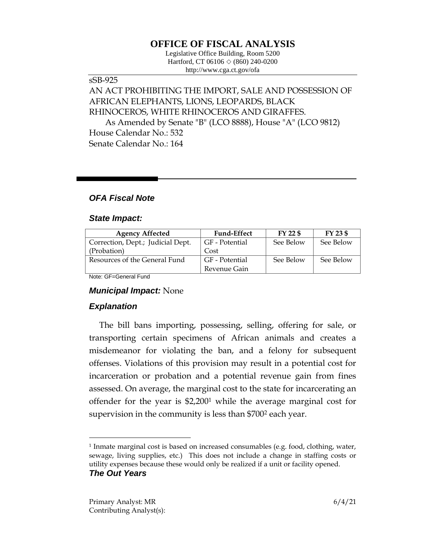## **OFFICE OF FISCAL ANALYSIS**

Legislative Office Building, Room 5200 Hartford, CT 06106 ◇ (860) 240-0200 http://www.cga.ct.gov/ofa

#### sSB-925

# AN ACT PROHIBITING THE IMPORT, SALE AND POSSESSION OF AFRICAN ELEPHANTS, LIONS, LEOPARDS, BLACK RHINOCEROS, WHITE RHINOCEROS AND GIRAFFES.

As Amended by Senate "B" (LCO 8888), House "A" (LCO 9812) House Calendar No.: 532 Senate Calendar No.: 164

## *OFA Fiscal Note*

#### *State Impact:*

| <b>Agency Affected</b>            | <b>Fund-Effect</b> | $FY$ 22 $$$ | FY 23 \$  |
|-----------------------------------|--------------------|-------------|-----------|
| Correction, Dept.; Judicial Dept. | GF - Potential     | See Below   | See Below |
| (Probation)                       | Cost               |             |           |
| Resources of the General Fund     | GF - Potential     | See Below   | See Below |
|                                   | Revenue Gain       |             |           |

Note: GF=General Fund

### *Municipal Impact:* None

## *Explanation*

 $\overline{a}$ 

The bill bans importing, possessing, selling, offering for sale, or transporting certain specimens of African animals and creates a misdemeanor for violating the ban, and a felony for subsequent offenses. Violations of this provision may result in a potential cost for incarceration or probation and a potential revenue gain from fines assessed. On average, the marginal cost to the state for incarcerating an offender for the year is \$2,200<sup>1</sup> while the average marginal cost for supervision in the community is less than \$700<sup>2</sup> each year.

<sup>1</sup> Inmate marginal cost is based on increased consumables (e.g. food, clothing, water, sewage, living supplies, etc.) This does not include a change in staffing costs or utility expenses because these would only be realized if a unit or facility opened. *The Out Years*